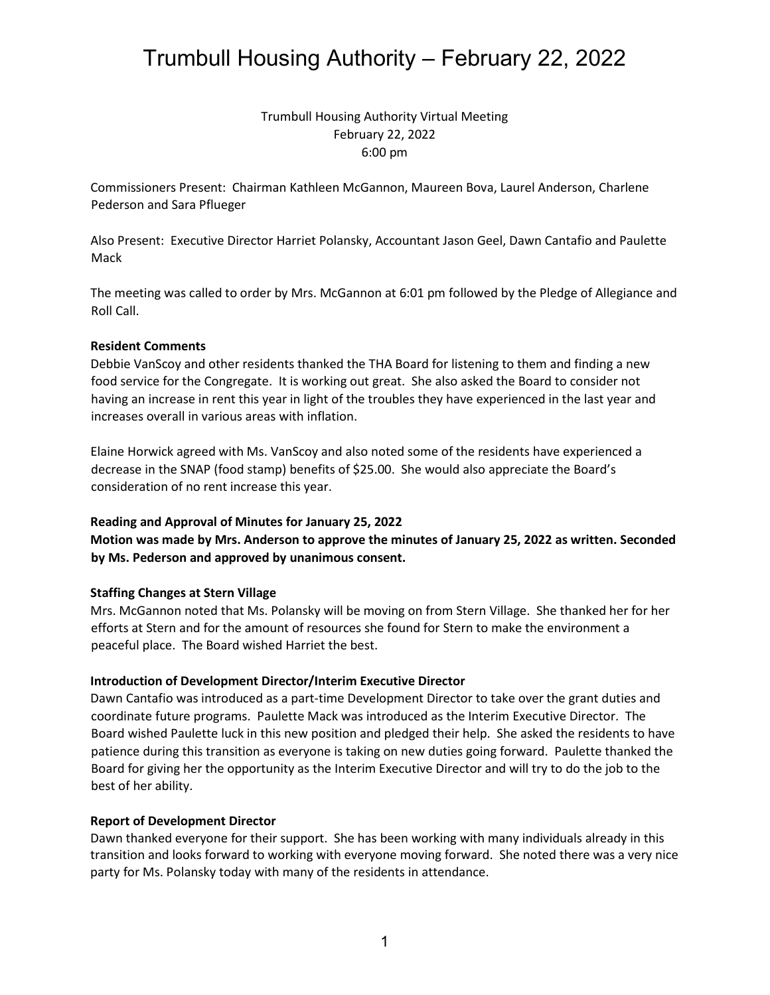## Trumbull Housing Authority Virtual Meeting February 22, 2022 6:00 pm

Commissioners Present: Chairman Kathleen McGannon, Maureen Bova, Laurel Anderson, Charlene Pederson and Sara Pflueger

Also Present: Executive Director Harriet Polansky, Accountant Jason Geel, Dawn Cantafio and Paulette Mack

The meeting was called to order by Mrs. McGannon at 6:01 pm followed by the Pledge of Allegiance and Roll Call.

### **Resident Comments**

Debbie VanScoy and other residents thanked the THA Board for listening to them and finding a new food service for the Congregate. It is working out great. She also asked the Board to consider not having an increase in rent this year in light of the troubles they have experienced in the last year and increases overall in various areas with inflation.

Elaine Horwick agreed with Ms. VanScoy and also noted some of the residents have experienced a decrease in the SNAP (food stamp) benefits of \$25.00. She would also appreciate the Board's consideration of no rent increase this year.

### **Reading and Approval of Minutes for January 25, 2022**

**Motion was made by Mrs. Anderson to approve the minutes of January 25, 2022 as written. Seconded by Ms. Pederson and approved by unanimous consent.**

### **Staffing Changes at Stern Village**

Mrs. McGannon noted that Ms. Polansky will be moving on from Stern Village. She thanked her for her efforts at Stern and for the amount of resources she found for Stern to make the environment a peaceful place. The Board wished Harriet the best.

### **Introduction of Development Director/Interim Executive Director**

Dawn Cantafio was introduced as a part-time Development Director to take over the grant duties and coordinate future programs. Paulette Mack was introduced as the Interim Executive Director. The Board wished Paulette luck in this new position and pledged their help. She asked the residents to have patience during this transition as everyone is taking on new duties going forward. Paulette thanked the Board for giving her the opportunity as the Interim Executive Director and will try to do the job to the best of her ability.

### **Report of Development Director**

Dawn thanked everyone for their support. She has been working with many individuals already in this transition and looks forward to working with everyone moving forward. She noted there was a very nice party for Ms. Polansky today with many of the residents in attendance.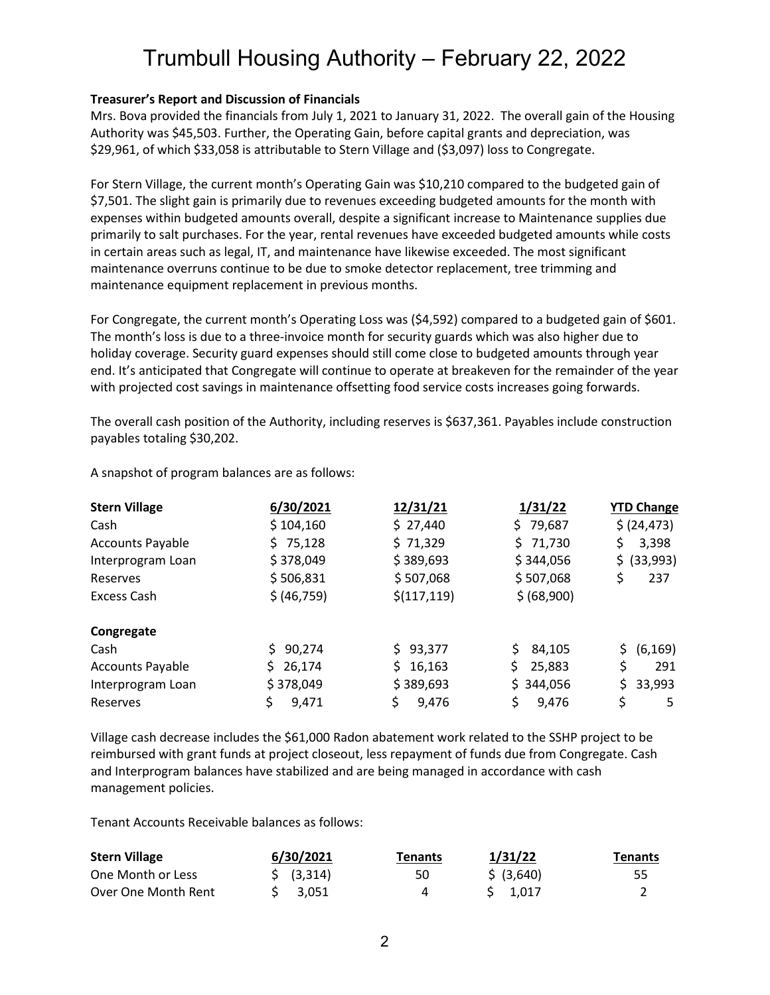### **Treasurer's Report and Discussion of Financials**

Mrs. Bova provided the financials from July 1, 2021 to January 31, 2022. The overall gain of the Housing Authority was \$45,503. Further, the Operating Gain, before capital grants and depreciation, was \$29,961, of which \$33,058 is attributable to Stern Village and (\$3,097) loss to Congregate.

For Stern Village, the current month's Operating Gain was \$10,210 compared to the budgeted gain of \$7,501. The slight gain is primarily due to revenues exceeding budgeted amounts for the month with expenses within budgeted amounts overall, despite a significant increase to Maintenance supplies due primarily to salt purchases. For the year, rental revenues have exceeded budgeted amounts while costs in certain areas such as legal, IT, and maintenance have likewise exceeded. The most significant maintenance overruns continue to be due to smoke detector replacement, tree trimming and maintenance equipment replacement in previous months.

For Congregate, the current month's Operating Loss was (\$4,592) compared to a budgeted gain of \$601. The month's loss is due to a three-invoice month for security guards which was also higher due to holiday coverage. Security guard expenses should still come close to budgeted amounts through year end. It's anticipated that Congregate will continue to operate at breakeven for the remainder of the year with projected cost savings in maintenance offsetting food service costs increases going forwards.

The overall cash position of the Authority, including reserves is \$637,361. Payables include construction payables totaling \$30,202.

| <b>Stern Village</b>    | 6/30/2021    | 12/31/21     | 1/31/22       | <b>YTD Change</b> |
|-------------------------|--------------|--------------|---------------|-------------------|
| Cash                    | \$104,160    | \$27,440     | \$79,687      | \$ (24, 473)      |
| <b>Accounts Payable</b> | \$75,128     | \$71,329     | \$71,730      | \$<br>3,398       |
| Interprogram Loan       | \$378,049    | \$389,693    | \$344,056     | \$ (33,993)       |
| Reserves                | \$506,831    | \$507,068    | \$507,068     | \$<br>237         |
| Excess Cash             | \$ (46,759)  | \$(117, 119) | \$ (68,900)   |                   |
| Congregate              |              |              |               |                   |
| Cash                    | \$90,274     | \$93,377     | 84,105        | (6, 169)<br>\$.   |
| <b>Accounts Payable</b> | 26,174<br>S. | 16,163<br>S. | \$.<br>25,883 | \$<br>291         |
| Interprogram Loan       | \$378,049    | \$389,693    | \$344,056     | \$33,993          |
| Reserves                | \$<br>9,471  | \$<br>9,476  | \$<br>9,476   | \$<br>5           |

A snapshot of program balances are as follows:

Village cash decrease includes the \$61,000 Radon abatement work related to the SSHP project to be reimbursed with grant funds at project closeout, less repayment of funds due from Congregate. Cash and Interprogram balances have stabilized and are being managed in accordance with cash management policies.

Tenant Accounts Receivable balances as follows:

| <b>Stern Village</b> | 6/30/2021             | Tenants | 1/31/22    | <b>Tenants</b> |  |
|----------------------|-----------------------|---------|------------|----------------|--|
| One Month or Less    | $\frac{1}{2}$ (3,314) | 50      | \$ (3,640) | 55             |  |
| Over One Month Rent  | S 3.051               | 4       | $S$ 1.017  |                |  |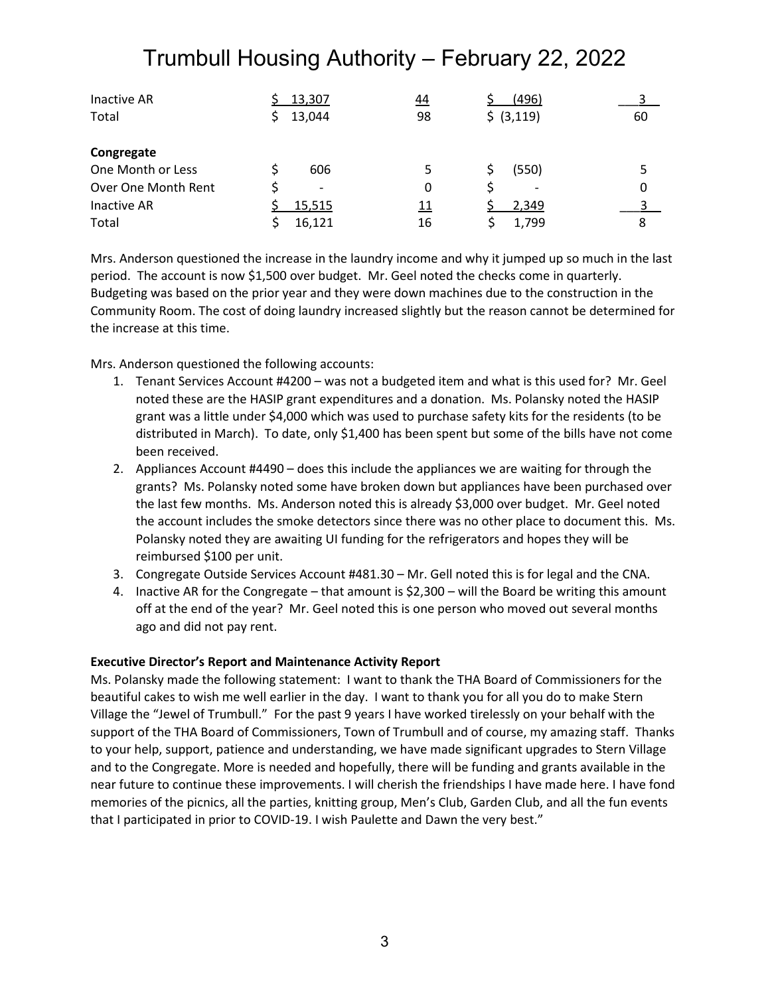| Inactive AR         | 13,307                   | <u>44</u>  | (496)      |    |
|---------------------|--------------------------|------------|------------|----|
| Total               | 13,044                   | 98         | \$ (3,119) | 60 |
| Congregate          |                          |            |            |    |
| One Month or Less   | 606                      | 5          | (550)      |    |
| Over One Month Rent | $\overline{\phantom{a}}$ | 0          | -          | 0  |
| Inactive AR         | 15,515                   | <u> 11</u> | 2,349      |    |
| Total               | 16,121                   | 16         | 1,799      | 8  |

Mrs. Anderson questioned the increase in the laundry income and why it jumped up so much in the last period. The account is now \$1,500 over budget. Mr. Geel noted the checks come in quarterly. Budgeting was based on the prior year and they were down machines due to the construction in the Community Room. The cost of doing laundry increased slightly but the reason cannot be determined for the increase at this time.

Mrs. Anderson questioned the following accounts:

- 1. Tenant Services Account #4200 was not a budgeted item and what is this used for? Mr. Geel noted these are the HASIP grant expenditures and a donation. Ms. Polansky noted the HASIP grant was a little under \$4,000 which was used to purchase safety kits for the residents (to be distributed in March). To date, only \$1,400 has been spent but some of the bills have not come been received.
- 2. Appliances Account #4490 does this include the appliances we are waiting for through the grants? Ms. Polansky noted some have broken down but appliances have been purchased over the last few months. Ms. Anderson noted this is already \$3,000 over budget. Mr. Geel noted the account includes the smoke detectors since there was no other place to document this. Ms. Polansky noted they are awaiting UI funding for the refrigerators and hopes they will be reimbursed \$100 per unit.
- 3. Congregate Outside Services Account #481.30 Mr. Gell noted this is for legal and the CNA.
- 4. Inactive AR for the Congregate that amount is \$2,300 will the Board be writing this amount off at the end of the year? Mr. Geel noted this is one person who moved out several months ago and did not pay rent.

### **Executive Director's Report and Maintenance Activity Report**

Ms. Polansky made the following statement: I want to thank the THA Board of Commissioners for the beautiful cakes to wish me well earlier in the day. I want to thank you for all you do to make Stern Village the "Jewel of Trumbull." For the past 9 years I have worked tirelessly on your behalf with the support of the THA Board of Commissioners, Town of Trumbull and of course, my amazing staff. Thanks to your help, support, patience and understanding, we have made significant upgrades to Stern Village and to the Congregate. More is needed and hopefully, there will be funding and grants available in the near future to continue these improvements. I will cherish the friendships I have made here. I have fond memories of the picnics, all the parties, knitting group, Men's Club, Garden Club, and all the fun events that I participated in prior to COVID-19. I wish Paulette and Dawn the very best."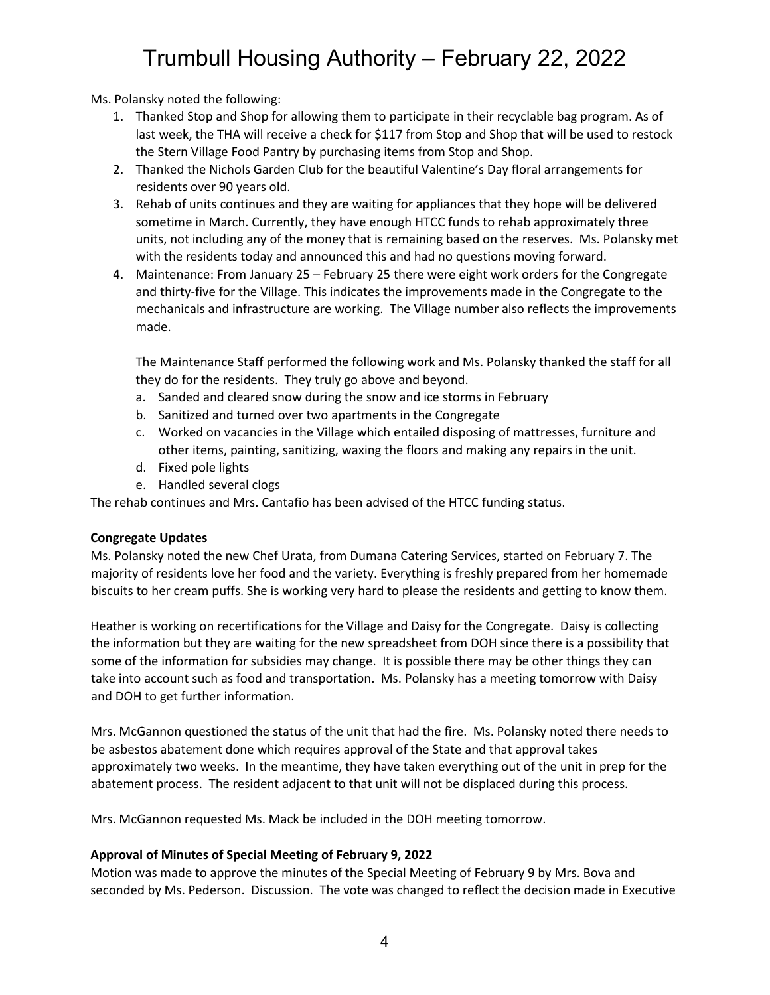Ms. Polansky noted the following:

- 1. Thanked Stop and Shop for allowing them to participate in their recyclable bag program. As of last week, the THA will receive a check for \$117 from Stop and Shop that will be used to restock the Stern Village Food Pantry by purchasing items from Stop and Shop.
- 2. Thanked the Nichols Garden Club for the beautiful Valentine's Day floral arrangements for residents over 90 years old.
- 3. Rehab of units continues and they are waiting for appliances that they hope will be delivered sometime in March. Currently, they have enough HTCC funds to rehab approximately three units, not including any of the money that is remaining based on the reserves. Ms. Polansky met with the residents today and announced this and had no questions moving forward.
- 4. Maintenance: From January 25 February 25 there were eight work orders for the Congregate and thirty-five for the Village. This indicates the improvements made in the Congregate to the mechanicals and infrastructure are working. The Village number also reflects the improvements made.

The Maintenance Staff performed the following work and Ms. Polansky thanked the staff for all they do for the residents. They truly go above and beyond.

- a. Sanded and cleared snow during the snow and ice storms in February
- b. Sanitized and turned over two apartments in the Congregate
- c. Worked on vacancies in the Village which entailed disposing of mattresses, furniture and other items, painting, sanitizing, waxing the floors and making any repairs in the unit.
- d. Fixed pole lights
- e. Handled several clogs

The rehab continues and Mrs. Cantafio has been advised of the HTCC funding status.

### **Congregate Updates**

Ms. Polansky noted the new Chef Urata, from Dumana Catering Services, started on February 7. The majority of residents love her food and the variety. Everything is freshly prepared from her homemade biscuits to her cream puffs. She is working very hard to please the residents and getting to know them.

Heather is working on recertifications for the Village and Daisy for the Congregate. Daisy is collecting the information but they are waiting for the new spreadsheet from DOH since there is a possibility that some of the information for subsidies may change. It is possible there may be other things they can take into account such as food and transportation. Ms. Polansky has a meeting tomorrow with Daisy and DOH to get further information.

Mrs. McGannon questioned the status of the unit that had the fire. Ms. Polansky noted there needs to be asbestos abatement done which requires approval of the State and that approval takes approximately two weeks. In the meantime, they have taken everything out of the unit in prep for the abatement process. The resident adjacent to that unit will not be displaced during this process.

Mrs. McGannon requested Ms. Mack be included in the DOH meeting tomorrow.

### **Approval of Minutes of Special Meeting of February 9, 2022**

Motion was made to approve the minutes of the Special Meeting of February 9 by Mrs. Bova and seconded by Ms. Pederson. Discussion. The vote was changed to reflect the decision made in Executive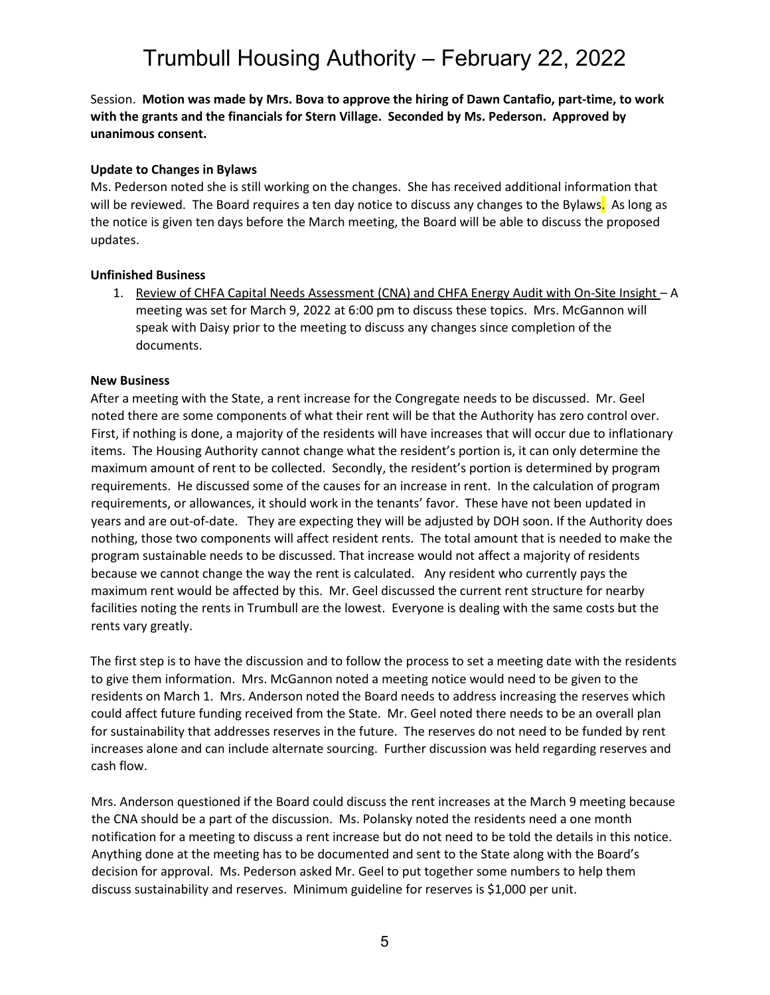Session. **Motion was made by Mrs. Bova to approve the hiring of Dawn Cantafio, part-time, to work with the grants and the financials for Stern Village. Seconded by Ms. Pederson. Approved by unanimous consent.**

### **Update to Changes in Bylaws**

Ms. Pederson noted she is still working on the changes. She has received additional information that will be reviewed. The Board requires a ten day notice to discuss any changes to the Bylaws. As long as the notice is given ten days before the March meeting, the Board will be able to discuss the proposed updates.

### **Unfinished Business**

1. Review of CHFA Capital Needs Assessment (CNA) and CHFA Energy Audit with On-Site Insight - A meeting was set for March 9, 2022 at 6:00 pm to discuss these topics. Mrs. McGannon will speak with Daisy prior to the meeting to discuss any changes since completion of the documents.

### **New Business**

After a meeting with the State, a rent increase for the Congregate needs to be discussed. Mr. Geel noted there are some components of what their rent will be that the Authority has zero control over. First, if nothing is done, a majority of the residents will have increases that will occur due to inflationary items. The Housing Authority cannot change what the resident's portion is, it can only determine the maximum amount of rent to be collected. Secondly, the resident's portion is determined by program requirements. He discussed some of the causes for an increase in rent. In the calculation of program requirements, or allowances, it should work in the tenants' favor. These have not been updated in years and are out-of-date. They are expecting they will be adjusted by DOH soon. If the Authority does nothing, those two components will affect resident rents. The total amount that is needed to make the program sustainable needs to be discussed. That increase would not affect a majority of residents because we cannot change the way the rent is calculated. Any resident who currently pays the maximum rent would be affected by this. Mr. Geel discussed the current rent structure for nearby facilities noting the rents in Trumbull are the lowest. Everyone is dealing with the same costs but the rents vary greatly.

The first step is to have the discussion and to follow the process to set a meeting date with the residents to give them information. Mrs. McGannon noted a meeting notice would need to be given to the residents on March 1. Mrs. Anderson noted the Board needs to address increasing the reserves which could affect future funding received from the State. Mr. Geel noted there needs to be an overall plan for sustainability that addresses reserves in the future. The reserves do not need to be funded by rent increases alone and can include alternate sourcing. Further discussion was held regarding reserves and cash flow.

Mrs. Anderson questioned if the Board could discuss the rent increases at the March 9 meeting because the CNA should be a part of the discussion. Ms. Polansky noted the residents need a one month notification for a meeting to discuss a rent increase but do not need to be told the details in this notice. Anything done at the meeting has to be documented and sent to the State along with the Board's decision for approval. Ms. Pederson asked Mr. Geel to put together some numbers to help them discuss sustainability and reserves. Minimum guideline for reserves is \$1,000 per unit.